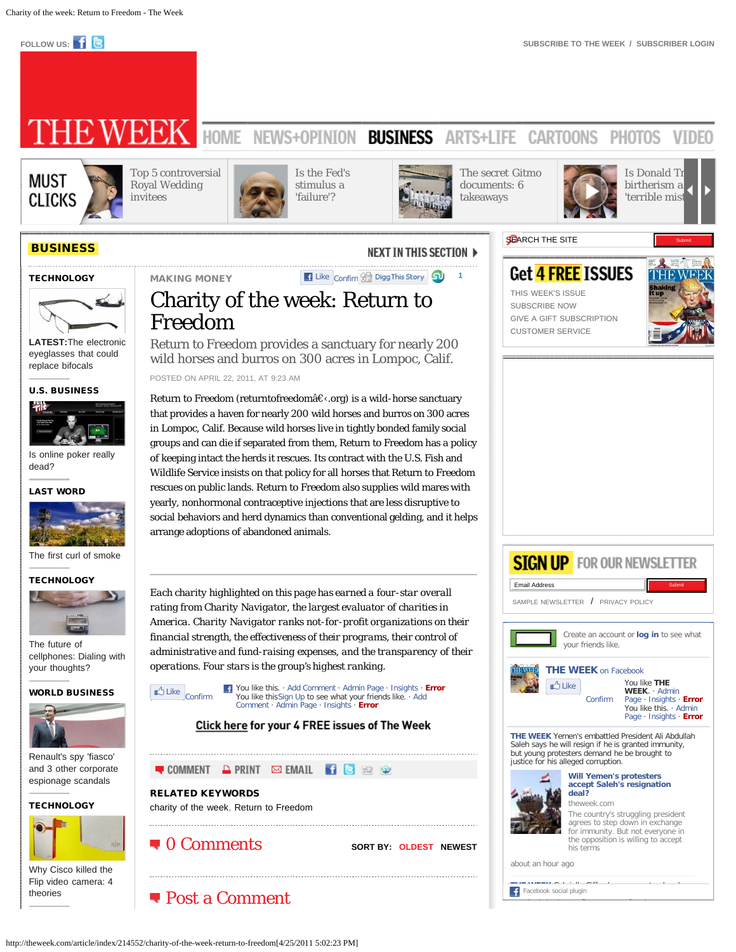<span id="page-0-0"></span>

# **EWEEK** HOME NEWS+OPINION BUSINESS ARTS+LIFE **CARTOONS PHOTOS VIDEO**



[e](http://theweek.com/article/index/214528/why-are-the-happy-days-actors-suing-cbs)

[Top 5 controversial](http://theweek.com/article/index/214599/top-5-controversial-royal-wedding-invitees) [Royal Wedding](http://theweek.com/article/index/214599/top-5-controversial-royal-wedding-invitees) [invitees](http://theweek.com/article/index/214599/top-5-controversial-royal-wedding-invitees)



[Is the Fed's](http://theweek.com/article/index/214579/is-the-feds-stimulus-a-failure) [stimulus a](http://theweek.com/article/index/214579/is-the-feds-stimulus-a-failure) ['failure'?](http://theweek.com/article/index/214579/is-the-feds-stimulus-a-failure)



[The secret Gitmo](http://theweek.com/article/index/214580/the-secret-gitmo-documents-6-takeaways)



[birtherism a](http://theweek.com/article/index/214583/is-donald-trumps-birtherism-a-terrible-mistake) 'terrible mist



# **[BUSINESS](http://theweek.com/section/index/business)**

#### **[TECHNOLOGY](http://theweek.com/article/index/214538/the-electronic-eyeglasses-that-could-replace-bifocals)**



[eyeglasses that could](http://theweek.com/article/index/214538/the-electronic-eyeglasses-that-could-replace-bifocals) [replace bifocals](http://theweek.com/article/index/214538/the-electronic-eyeglasses-that-could-replace-bifocals)

[U.S. BUSINESS](http://theweek.com/article/index/214425/is-online-poker-really-dead)



[Is online poker really](http://theweek.com/article/index/214425/is-online-poker-really-dead) [dead?](http://theweek.com/article/index/214425/is-online-poker-really-dead)

#### [LAST WORD](http://theweek.com/article/index/214253/the-first-curl-of-smoke)



[The first curl of smoke](http://theweek.com/article/index/214253/the-first-curl-of-smoke)

#### **[TECHNOLOGY](http://theweek.com/article/index/214263/the-future-of-cellphones-dialing-with-your-thoughts)**



[cellphones: Dialing with](http://theweek.com/article/index/214263/the-future-of-cellphones-dialing-with-your-thoughts) [your thoughts?](http://theweek.com/article/index/214263/the-future-of-cellphones-dialing-with-your-thoughts)





[Renault's spy 'fiasco'](http://theweek.com/article/index/214213/renaults-spy-fiasco-and-3-other-corporate-espionage-scandals) [and 3 other corporate](http://theweek.com/article/index/214213/renaults-spy-fiasco-and-3-other-corporate-espionage-scandals) [espionage scandals](http://theweek.com/article/index/214213/renaults-spy-fiasco-and-3-other-corporate-espionage-scandals)

#### **[TECHNOLOGY](http://theweek.com/article/index/214148/why-cisco-killed-the-flip-video-camera-4-theories)**



[Why Cisco killed the](http://theweek.com/article/index/214148/why-cisco-killed-the-flip-video-camera-4-theories) [Flip video camera: 4](http://theweek.com/article/index/214148/why-cisco-killed-the-flip-video-camera-4-theories) [theories](http://theweek.com/article/index/214148/why-cisco-killed-the-flip-video-camera-4-theories)

# NEXT IN THIS SECTION ▶ MAKING MONEY **[1](javascript:void(0);)** Like Confir[m](http://digg.com/submit?url=http%3A%2F%2Ftheweek.com%2Farticle%2Findex%2F214552%2Fcharity-of-the-week-return-to-freedom) **1** Digg This Story **1**

Charity of the week: Return to Freedom

Return to Freedom provides a sanctuary for nearly 200 wild horses and burros on 300 acres in Lompoc, Calif.

POSTED ON APRIL 22, 2011, AT 9:23 AM

Return to Freedom (returntofreedom $\hat{a}\in\langle$ .org) is a wild-horse sanctuary that provides a haven for nearly 200 wild horses and burros on 300 acres in Lompoc, Calif. Because wild horses live in tightly bonded family social groups and can die if separated from them, Return to Freedom has a policy of keeping intact the herds it rescues. Its contract with the U.S. Fish and Wildlife Service insists on that policy for all horses that Return to Freedom rescues on public lands. Return to Freedom also supplies wild mares with yearly, nonhormonal contraceptive injections that are less disruptive to social behaviors and herd dynamics than conventional gelding, and it helps arrange adoptions of abandoned animals.

*Each charity highlighted on this page has earned a four-star overall rating from Charity Navigator, the largest evaluator of charities in America. Charity Navigator ranks not-for-profit organizations on their financial strength, the effectiveness of their programs, their control of administrative and fund-raising expenses, and the transparency of their operations. Four stars is the group's highest ranking.*



**C**ULIKE **Confirm Li** You like this. · Add Comment · Admin Page · Insights · **Error** Vou like this Sign Up to see what your friends like. · Add You like thi[sSign Up](http://www.facebook.com/campaign/landing.php?campaign_id=137675572948107&partner_id=theweek.com&placement=like_button&extra_1=http%3A%2F%2Ftheweek.com%2Farticle%2Findex%2F214552%2Fcharity-of-the-week-return-to-freedom&extra_2=US) to see what your friends like. · Add Comment · Admin Page · Insights · **Error**





Get <mark>4 FREE</mark> ISSUES [THIS WEEK'S ISSUE](http://theweek.com/home/mtoc) [SUBSCRIBE NOW](https://secure.palmcoastd.com/pcd/FormRedirect?iID=9211301) [GIVE A GIFT SUBSCRIPTION](https://secure.palmcoastd.com/pcd/FormRedirect?iID=9411301) [CUSTOMER SERVICE](http://theweek.com/service)



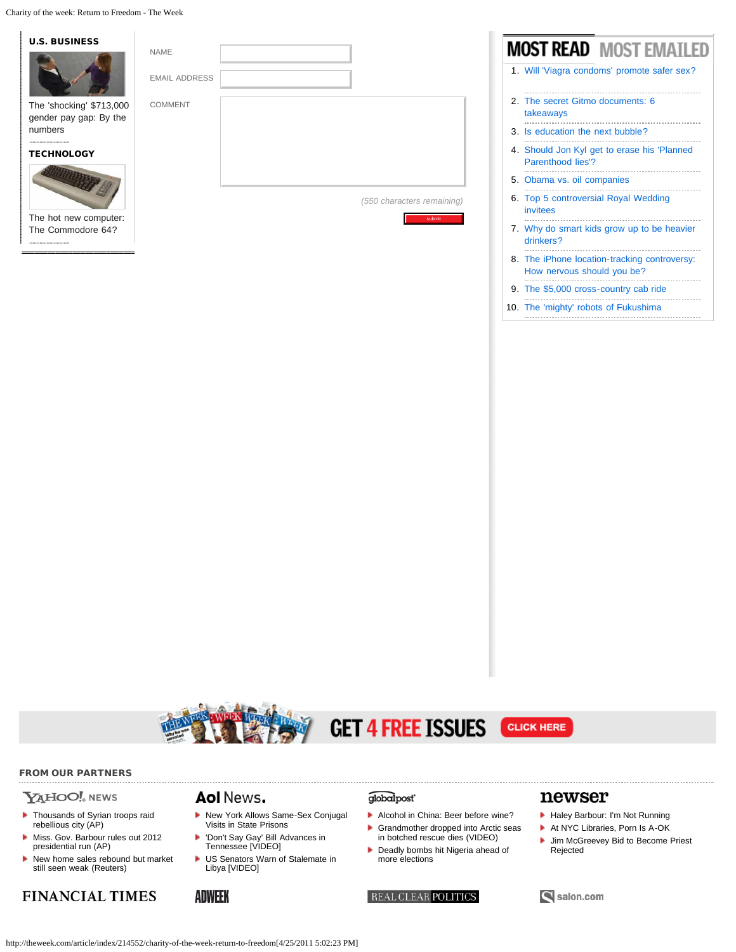Charity of the week: Return to Freedom - The Week



#### 9. [The \\$5,000 cross-country cab ride](http://theweek.com/article/index/214597/the-5000-cross-country-cab-ride)

10. [The 'mighty' robots of Fukushima](http://theweek.com/article/index/214594/the-mighty-robots-of-fukushima)





# $\mathbf{Y}$ A $\mathbf{H}$ OO!. NEWS

- **[Thousands of Syrian troops raid](http://us.rd.yahoo.com/dailynews/rss/topstories/*http%3A//news.yahoo.com/s/ap/20110425/ap_on_re_mi_ea/ml_syria)** [rebellious city \(AP\)](http://us.rd.yahoo.com/dailynews/rss/topstories/*http%3A//news.yahoo.com/s/ap/20110425/ap_on_re_mi_ea/ml_syria)
- [Miss. Gov. Barbour rules out 2012](http://us.rd.yahoo.com/dailynews/rss/topstories/*http%3A//news.yahoo.com/s/ap/20110425/ap_on_re_us/us_barbour2012) [presidential run \(AP\)](http://us.rd.yahoo.com/dailynews/rss/topstories/*http%3A//news.yahoo.com/s/ap/20110425/ap_on_re_us/us_barbour2012)
- $\blacktriangleright$  [New home sales rebound but market](http://us.rd.yahoo.com/dailynews/rss/topstories/*http%3A//news.yahoo.com/s/nm/20110425/bs_nm/us_usa_economy) [still seen weak \(Reuters\)](http://us.rd.yahoo.com/dailynews/rss/topstories/*http%3A//news.yahoo.com/s/nm/20110425/bs_nm/us_usa_economy)

# **FINANCIAL TIMES**

## Aol News.

- [New York Allows Same-Sex Conjugal](http://www.aolnews.com/2011/04/25/new-york-allows-same-sex-conjugal-visits-in-state-prisons/) [Visits in State Prisons](http://www.aolnews.com/2011/04/25/new-york-allows-same-sex-conjugal-visits-in-state-prisons/)
- × ['Don't Say Gay' Bill Advances in](http://www.aolnews.com/2011/04/25/dont-say-gay-bill-advances-in-tennessee-video/) [Tennessee \[VIDEO\]](http://www.aolnews.com/2011/04/25/dont-say-gay-bill-advances-in-tennessee-video/)
- [US Senators Warn of Stalemate in](http://www.aolnews.com/2011/04/25/us-senators-warn-of-stalemate-in-libya-video/) [Libya \[VIDEO\]](http://www.aolnews.com/2011/04/25/us-senators-warn-of-stalemate-in-libya-video/)

### **ADWEEK**

### globalpost<sup>®</sup>

**GET 4 FREE ISSUES** 

- [Alcohol in China: Beer before wine?](http://www.globalpost.com/dispatches/globalpost-blogs/macro/china-beer-wine)
- [Grandmother dropped into Arctic seas](http://www.globalpost.com/dispatch/news/regions/europe/110425/grandmother-ocean-countess-arctic-sea-cruise-janet-richardson-video)
- [in botched rescue dies \(VIDEO\)](http://www.globalpost.com/dispatch/news/regions/europe/110425/grandmother-ocean-countess-arctic-sea-cruise-janet-richardson-video)
- **[Deadly bombs hit Nigeria ahead of](http://www.globalpost.com/dispatches/globalpost-blogs/africa-emerges/deadly-bombs-hit-nigeria-ahead-more-elections)** [more elections](http://www.globalpost.com/dispatches/globalpost-blogs/africa-emerges/deadly-bombs-hit-nigeria-ahead-more-elections)



# newser

**CLICK HERE** 

- [Haley Barbour: I'm Not Running](http://www.newser.com/story/117175/haley-barbour-im-not-running.html)
- [At NYC Libraries, Porn Is A-OK](http://www.newser.com/story/117164/at-nyc-libraries-porn-is-a-ok.html)
- **[Jim McGreevey Bid to Become Priest](http://www.newser.com/story/117136/jim-mcgreevey-bid-to-become-priest-rejected.html)** [Rejected](http://www.newser.com/story/117136/jim-mcgreevey-bid-to-become-priest-rejected.html)

### Salon.com

http://theweek.com/article/index/214552/charity-of-the-week-return-to-freedom[4/25/2011 5:02:23 PM]